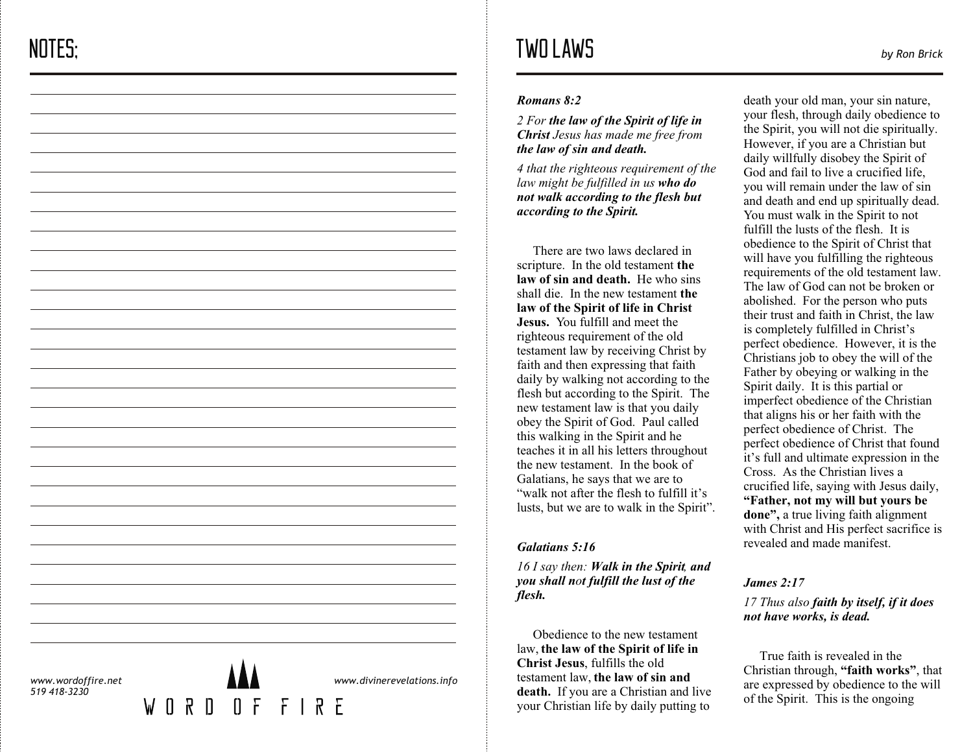#### *Romans 8:2*

*2 For the law of the Spirit of life in Christ Jesus has made me free from the law of sin and death.*

*4 that the righteous requirement of the law might be fulfilled in us who do not walk according to the flesh but according to the Spirit.*

 There are two laws declared in scripture. In the old testament **the law of sin and death.** He who sins shall die. In the new testament **the law of the Spirit of life in Christ Jesus.** You fulfill and meet the righteous requirement of the old testament law by receiving Christ by faith and then expressing that faith daily by walking not according to the flesh but according to the Spirit. The new testament law is that you daily obey the Spirit of God. Paul called this walking in the Spirit and he teaches it in all his letters throughout the new testament. In the book of Galatians, he says that we are to "walk not after the flesh to fulfill it's lusts, but we are to walk in the Spirit".

### *Galatians 5:16*

*16 I say then: Walk in the Spirit, and you shall n ot fulfill the lust of the flesh.*

 Obedience to the new testament law, **the law of the Spirit of life in Christ Jesus**, fulfills the old testament law, **the law of sin and death.** If you are a Christian and live your Christian life by daily putting to

death your old man, your sin nature, your flesh, through daily obedience to the Spirit, you will not die spiritually. However, if you are a Christian but daily willfully disobey the Spirit of God and fail to live a crucified life, you will remain under the law of sin<br>and death and end up spiritually dead. You must walk in the Spirit to not fulfill the lusts of the flesh. It is obedience to the Spirit of Christ that will have you fulfilling the righteous requirements of the old testament law. The law of God can not be broken or abolished. For the person who puts their trust and faith in Christ, the law is completely fulfilled in Christ's perfect obedience. However, it is the Christians job to obey the will of the Father by obeying or walking in the Spirit daily. It is this partial or imperfect obedience of the Christian that aligns his or her faith with the perfect obedience of Christ. The perfect obedience of Christ that found it's full and ultimate expression in the Cross. As the Christian lives a crucified life, saying with Jesus daily, **"Father, not my will but yours be done",** a true living faith alignment with Christ and His perfect sacrifice is revealed and made manifest.

## *James 2:17*

*17 Thus also faith by itself, if it does not have works, is dead.*

 True faith is revealed in the Christian through, **"faith works"**, that are expressed by obedience to the will of the Spirit. This is the ongoing

*www.wordoffire.net 519 418-3230*